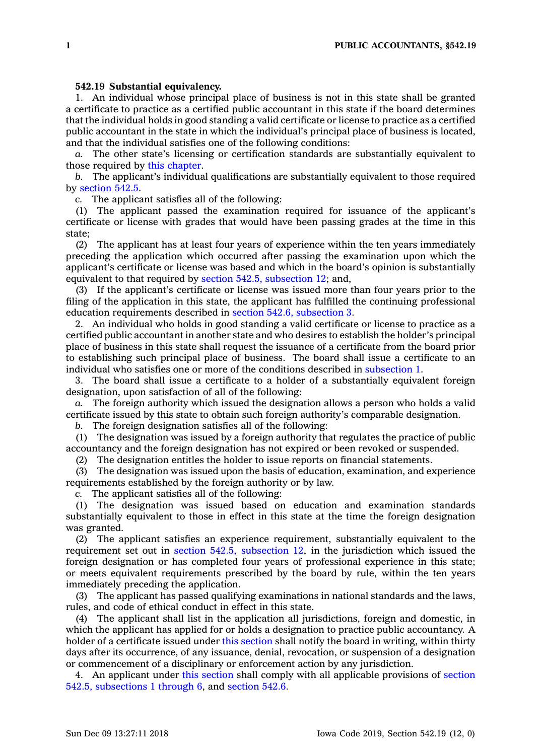## **542.19 Substantial equivalency.**

1. An individual whose principal place of business is not in this state shall be granted <sup>a</sup> certificate to practice as <sup>a</sup> certified public accountant in this state if the board determines that the individual holds in good standing <sup>a</sup> valid certificate or license to practice as <sup>a</sup> certified public accountant in the state in which the individual's principal place of business is located, and that the individual satisfies one of the following conditions:

*a.* The other state's licensing or certification standards are substantially equivalent to those required by this [chapter](https://www.legis.iowa.gov/docs/code//542.pdf).

*b.* The applicant's individual qualifications are substantially equivalent to those required by [section](https://www.legis.iowa.gov/docs/code/542.5.pdf) 542.5.

*c.* The applicant satisfies all of the following:

(1) The applicant passed the examination required for issuance of the applicant's certificate or license with grades that would have been passing grades at the time in this state;

(2) The applicant has at least four years of experience within the ten years immediately preceding the application which occurred after passing the examination upon which the applicant's certificate or license was based and which in the board's opinion is substantially equivalent to that required by section 542.5, [subsection](https://www.legis.iowa.gov/docs/code/542.5.pdf) 12; and,

(3) If the applicant's certificate or license was issued more than four years prior to the filing of the application in this state, the applicant has fulfilled the continuing professional education requirements described in section 542.6, [subsection](https://www.legis.iowa.gov/docs/code/542.6.pdf) 3.

2. An individual who holds in good standing <sup>a</sup> valid certificate or license to practice as <sup>a</sup> certified public accountant in another state and who desires to establish the holder's principal place of business in this state shall request the issuance of <sup>a</sup> certificate from the board prior to establishing such principal place of business. The board shall issue <sup>a</sup> certificate to an individual who satisfies one or more of the conditions described in [subsection](https://www.legis.iowa.gov/docs/code/542.19.pdf) 1.

3. The board shall issue <sup>a</sup> certificate to <sup>a</sup> holder of <sup>a</sup> substantially equivalent foreign designation, upon satisfaction of all of the following:

*a.* The foreign authority which issued the designation allows <sup>a</sup> person who holds <sup>a</sup> valid certificate issued by this state to obtain such foreign authority's comparable designation.

*b.* The foreign designation satisfies all of the following:

(1) The designation was issued by <sup>a</sup> foreign authority that regulates the practice of public accountancy and the foreign designation has not expired or been revoked or suspended.

(2) The designation entitles the holder to issue reports on financial statements.

(3) The designation was issued upon the basis of education, examination, and experience requirements established by the foreign authority or by law.

*c.* The applicant satisfies all of the following:

(1) The designation was issued based on education and examination standards substantially equivalent to those in effect in this state at the time the foreign designation was granted.

(2) The applicant satisfies an experience requirement, substantially equivalent to the requirement set out in section 542.5, [subsection](https://www.legis.iowa.gov/docs/code/542.5.pdf) 12, in the jurisdiction which issued the foreign designation or has completed four years of professional experience in this state; or meets equivalent requirements prescribed by the board by rule, within the ten years immediately preceding the application.

(3) The applicant has passed qualifying examinations in national standards and the laws, rules, and code of ethical conduct in effect in this state.

(4) The applicant shall list in the application all jurisdictions, foreign and domestic, in which the applicant has applied for or holds <sup>a</sup> designation to practice public accountancy. A holder of <sup>a</sup> certificate issued under this [section](https://www.legis.iowa.gov/docs/code/542.19.pdf) shall notify the board in writing, within thirty days after its occurrence, of any issuance, denial, revocation, or suspension of <sup>a</sup> designation or commencement of <sup>a</sup> disciplinary or enforcement action by any jurisdiction.

4. An applicant under this [section](https://www.legis.iowa.gov/docs/code/542.19.pdf) shall comply with all applicable provisions of [section](https://www.legis.iowa.gov/docs/code/542.5.pdf) 542.5, [subsections](https://www.legis.iowa.gov/docs/code/542.5.pdf) 1 through 6, and [section](https://www.legis.iowa.gov/docs/code/542.6.pdf) 542.6.